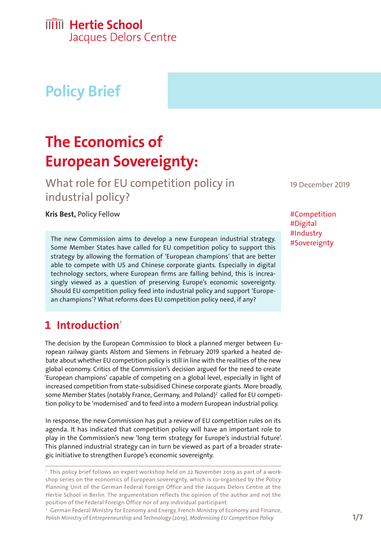# **IIIII** Hertie School

Jacques Delors Centre

# **Policy Brief**

## **The Economics of European Sovereignty:**

What role for EU competition policy in industrial policy?

**Kris Best, Policy Fellow #Competition** 

The new Commission aims to develop a new European industrial strategy. Some Member States have called for EU competition policy to support this strategy by allowing the formation of 'European champions' that are better able to compete with US and Chinese corporate giants. Especially in digital technology sectors, where European firms are falling behind, this is increasingly viewed as a question of preserving Europe's economic sovereignty. Should EU competition policy feed into industrial policy and support 'European champions'? What reforms does EU competition policy need, if any?

#### **1** Introduction<sup>1</sup>

The decision by the European Commission to block a planned merger between European railway giants Alstom and Siemens in February 2019 sparked a heated debate about whether EU competition policy is still in line with the realities of the new global economy. Critics of the Commission's decision argued for the need to create 'European champions' capable of competing on a global level, especially in light of increased competition from state-subsidised Chinese corporate giants. More broadly, some Member States (notably France, Germany, and Poland)<sup>2</sup> called for EU competition policy to be 'modernised' and to feed into a modern European industrial policy.

In response, the new Commission has put a review of EU competition rules on its agenda. It has indicated that competition policy will have an important role to play in the Commission's new 'long term strategy for Europe's industrial future'. This planned industrial strategy can in turn be viewed as part of a broader strategic initiative to strengthen Europe's economic sovereignty.

<sup>2</sup> German Federal Ministry for Economy and Energy, French Ministry of Economy and Finance, Polish Ministry of Entrepreneurship and Technology (2019), *[Modernising EU Competition Policy](https://www.bmwi.de/Redaktion/DE/Downloads/M-O/modernising-eu-competition-policy.pdf)*

19 December 2019

#Digital #Industry #Sovereignty

<sup>1</sup> This policy brief follows an expert workshop held on 22 November 2019 as part of a workshop series on the economics of European sovereignty, which is co-organised by the Policy Planning Unit of the German Federal Foreign Office and the Jacques Delors Centre at the Hertie School in Berlin. The argumentation reflects the opinion of the author and not the position of the Federal Foreign Office nor of any individual participant.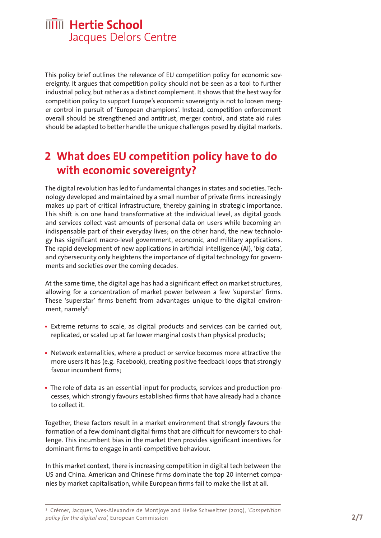This policy brief outlines the relevance of EU competition policy for economic sovereignty. It argues that competition policy should not be seen as a tool to further industrial policy, but rather as a distinct complement. It shows that the best way for competition policy to support Europe's economic sovereignty is not to loosen merger control in pursuit of 'European champions'. Instead, competition enforcement overall should be strengthened and antitrust, merger control, and state aid rules should be adapted to better handle the unique challenges posed by digital markets.

### **2 What does EU competition policy have to do with economic sovereignty?**

The digital revolution has led to fundamental changes in states and societies. Technology developed and maintained by a small number of private firms increasingly makes up part of critical infrastructure, thereby gaining in strategic importance. This shift is on one hand transformative at the individual level, as digital goods and services collect vast amounts of personal data on users while becoming an indispensable part of their everyday lives; on the other hand, the new technology has significant macro-level government, economic, and military applications. The rapid development of new applications in artificial intelligence (AI), 'big data', and cybersecurity only heightens the importance of digital technology for governments and societies over the coming decades.

At the same time, the digital age has had a significant effect on market structures, allowing for a concentration of market power between a few 'superstar' firms. These 'superstar' firms benefit from advantages unique to the digital environment, namely<sup>3</sup>:

- Extreme returns to scale, as digital products and services can be carried out, replicated, or scaled up at far lower marginal costs than physical products;
- **•**  Network externalities, where a product or service becomes more attractive the more users it has (e.g. Facebook), creating positive feedback loops that strongly favour incumbent firms;
- The role of data as an essential input for products, services and production processes, which strongly favours established firms that have already had a chance to collect it.

Together, these factors result in a market environment that strongly favours the formation of a few dominant digital firms that are difficult for newcomers to challenge. This incumbent bias in the market then provides significant incentives for dominant firms to engage in anti-competitive behaviour.

In this market context, there is increasing competition in digital tech between the US and China. American and Chinese firms dominate the top 20 internet companies by market capitalisation, while European firms fail to make the list at all.

<sup>3</sup> Crémer, Jacques, Yves-Alexandre de Montjoye and Heike Schweitzer (2019), *'Competition policy for the digital era',* European Commission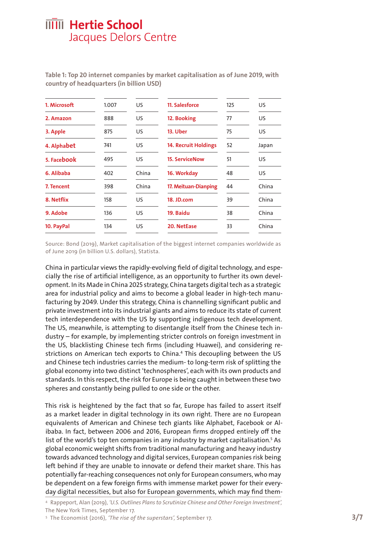| 1. Microsoft | 1.007 | US    | 11. Salesforce              | 125 | US.   |
|--------------|-------|-------|-----------------------------|-----|-------|
| 2. Amazon    | 888   | US    | 12. Booking                 | 77  | US.   |
| 3. Apple     | 875   | US    | 13. Uber                    | 75  | US.   |
| 4. Alphabet  | 741   | US    | <b>14. Recruit Holdings</b> | 52  | Japan |
| 5. Facebook  | 495   | US    | <b>15. ServiceNow</b>       | 51  | US.   |
| 6. Alibaba   | 402   | China | 16. Workday                 | 48  | US.   |
| 7. Tencent   | 398   | China | 17. Meituan-Dianping        | 44  | China |
| 8. Netflix   | 158   | US    | 18. JD.com                  | 39  | China |
| 9. Adobe     | 136   | US    | 19. Baidu                   | 38  | China |
| 10. PayPal   | 134   | US    | 20. NetEase                 | 33  | China |
|              |       |       |                             |     |       |

**Table 1: Top 20 internet companies by market capitalisation as of June 2019, with country of headquarters (in billion USD)**

Source: Bond (2019), Market capitalisation of the biggest internet companies worldwide as of June 2019 (in billion U.S. dollars), Statista.

China in particular views the rapidly-evolving field of digital technology, and especially the rise of artificial intelligence, as an opportunity to further its own development. In its Made in China 2025 strategy, China targets digital tech as a strategic area for industrial policy and aims to become a global leader in high-tech manufacturing by 2049. Under this strategy, China is channelling significant public and private investment into its industrial giants and aims to reduce its state of current tech interdependence with the US by supporting indigenous tech development. The US, meanwhile, is attempting to disentangle itself from the Chinese tech industry – for example, by implementing stricter controls on foreign investment in the US, blacklisting Chinese tech firms (including Huawei), and considering restrictions on American tech exports to China.<sup>4</sup> This decoupling between the US and Chinese tech industries carries the medium- to long-term risk of splitting the global economy into two distinct 'technospheres', each with its own products and standards. In this respect, the risk for Europe is being caught in between these two spheres and constantly being pulled to one side or the other.

This risk is heightened by the fact that so far, Europe has failed to assert itself as a market leader in digital technology in its own right. There are no European equivalents of American and Chinese tech giants like Alphabet, Facebook or Alibaba. In fact, between 2006 and 2016, European firms dropped entirely off the list of the world's top ten companies in any industry by market capitalisation.<sup>5</sup> As global economic weight shifts from traditional manufacturing and heavy industry towards advanced technology and digital services, European companies risk being left behind if they are unable to innovate or defend their market share. This has potentially far-reaching consequences not only for European consumers, who may be dependent on a few foreign firms with immense market power for their everyday digital necessities, but also for European governments, which may find them-

<sup>4</sup> Rappeport, Alan (2019), *['U.S. Outlines Plans to Scrutinize Chinese and Other Foreign Investment',](https://www.nytimes.com/2019/09/17/us/politics/china-foreign-investment-cfius.html)* The New York Times, September 17.

<sup>5</sup> The Economist (2016), *'The rise of the superstars',* September 17.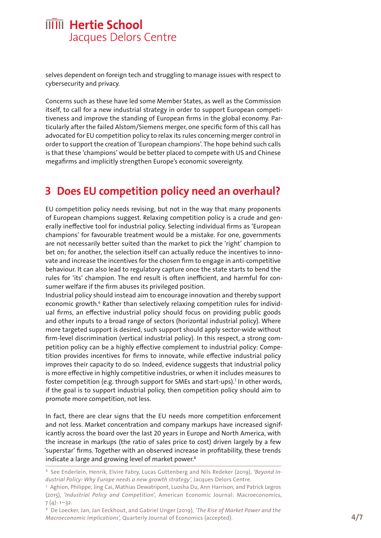selves dependent on foreign tech and struggling to manage issues with respect to cybersecurity and privacy.

Concerns such as these have led some Member States, as well as the Commission itself, to call for a new industrial strategy in order to support European competitiveness and improve the standing of European firms in the global economy. Particularly after the failed Alstom/Siemens merger, one specific form of this call has advocated for EU competition policy to relax its rules concerning merger control in order to support the creation of 'European champions'. The hope behind such calls is that these 'champions' would be better placed to compete with US and Chinese megafirms and implicitly strengthen Europe's economic sovereignty.

#### **3 Does EU competition policy need an overhaul?**

EU competition policy needs revising, but not in the way that many proponents of European champions suggest. Relaxing competition policy is a crude and generally ineffective tool for industrial policy. Selecting individual firms as 'European champions' for favourable treatment would be a mistake. For one, governments are not necessarily better suited than the market to pick the 'right' champion to bet on; for another, the selection itself can actually reduce the incentives to innovate and increase the incentives for the chosen firm to engage in anti-competitive behaviour. It can also lead to regulatory capture once the state starts to bend the rules for 'its' champion. The end result is often inefficient, and harmful for consumer welfare if the firm abuses its privileged position.

Industrial policy should instead aim to encourage innovation and thereby support economic growth.<sup>6</sup> Rather than selectively relaxing competition rules for individual firms, an effective industrial policy should focus on providing public goods and other inputs to a broad range of sectors (horizontal industrial policy). Where more targeted support is desired, such support should apply sector-wide without firm-level discrimination (vertical industrial policy). In this respect, a strong competition policy can be a highly effective complement to industrial policy: Competition provides incentives for firms to innovate, while effective industrial policy improves their capacity to do so. Indeed, evidence suggests that industrial policy is more effective in highly competitive industries, or when it includes measures to foster competition (e.g. through support for SMEs and start-ups).<sup>7</sup> In other words, if the goal is to support industrial policy, then competition policy should aim to promote more competition, not less.

In fact, there are clear signs that the EU needs more competition enforcement and not less. Market concentration and company markups have increased significantly across the board over the last 20 years in Europe and North America, with the increase in markups (the ratio of sales price to cost) driven largely by a few 'superstar' firms. Together with an observed increase in profitability, these trends indicate a large and growing level of market power.<sup>8</sup>

<sup>6</sup> See Enderlein, Henrik, Elvire Fabry, Lucas Guttenberg and Nils Redeker (2019), *['Beyond In](https://www.hertie-school.org/en/delorscentre/publications/detail/publication/beyond-industrial-policy-new-growth-for-europe/)*[dustrial Policy: Why Europe needs a new growth strategy',](https://www.hertie-school.org/en/delorscentre/publications/detail/publication/beyond-industrial-policy-new-growth-for-europe/) Jacques Delors Centre.

<sup>7</sup> Aghion, Philippe, Jing Cai, Mathias Dewatripont, Luosha Du, Ann Harrison, and Patrick Legros (2015), *['Industrial Policy and Competition',](https://www.aeaweb.org/articles%3Fid%3D10.1257/mac.20120103)* American Economic Journal: Macroeconomics,  $7(4): 1-32.$ 

<sup>8</sup> De Loecker, Jan, Jan Eeckhout, and Gabriel Unger (2019), *['The Rise of Market Power and the](http://www.janeeckhout.com/wp-content/uploads/RMP.pdf)  [Macroeconomic Implications',](http://www.janeeckhout.com/wp-content/uploads/RMP.pdf)* Quarterly Journal of Economics (accepted).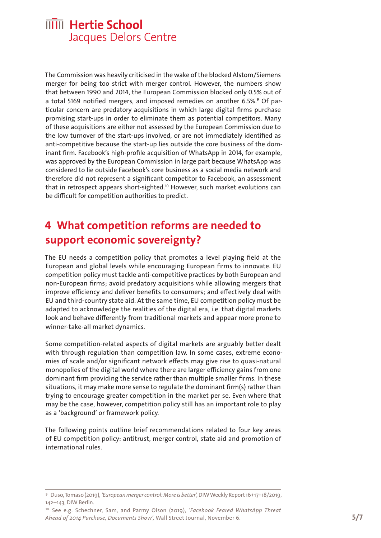The Commission was heavily criticised in the wake of the blocked Alstom/Siemens merger for being too strict with merger control. However, the numbers show that between 1990 and 2014, the European Commission blocked only 0.5% out of a total 5169 notified mergers, and imposed remedies on another 6.5%.<sup>9</sup> Of particular concern are predatory acquisitions in which large digital firms purchase promising start-ups in order to eliminate them as potential competitors. Many of these acquisitions are either not assessed by the European Commission due to the low turnover of the start-ups involved, or are not immediately identified as anti-competitive because the start-up lies outside the core business of the dominant firm. Facebook's high-profile acquisition of WhatsApp in 2014, for example, was approved by the European Commission in large part because WhatsApp was considered to lie outside Facebook's core business as a social media network and therefore did not represent a significant competitor to Facebook, an assessment that in retrospect appears short-sighted.<sup>10</sup> However, such market evolutions can be difficult for competition authorities to predict.

#### **4 What competition reforms are needed to support economic sovereignty?**

The EU needs a competition policy that promotes a level playing field at the European and global levels while encouraging European firms to innovate. EU competition policy must tackle anti-competitive practices by both European and non-European firms; avoid predatory acquisitions while allowing mergers that improve efficiency and deliver benefits to consumers; and effectively deal with EU and third-country state aid. At the same time, EU competition policy must be adapted to acknowledge the realities of the digital era, i.e. that digital markets look and behave differently from traditional markets and appear more prone to winner-take-all market dynamics.

Some competition-related aspects of digital markets are arguably better dealt with through regulation than competition law. In some cases, extreme economies of scale and/or significant network effects may give rise to quasi-natural monopolies of the digital world where there are larger efficiency gains from one dominant firm providing the service rather than multiple smaller firms. In these situations, it may make more sense to regulate the dominant firm(s) rather than trying to encourage greater competition in the market per se. Even where that may be the case, however, competition policy still has an important role to play as a 'background' or framework policy.

The following points outline brief recommendations related to four key areas of EU competition policy: antitrust, merger control, state aid and promotion of international rules.

<sup>9</sup> Duso, Tomaso (2019), *['European merger control: More is better',](https://www.diw.de/de/diw_01.c.620446.de/publikationen/weekly_reports/2019_16/competitiveness_and_convergence_trade_merger_control_industry_and_innovation_reports.html)* DIW Weekly Report 16+17+18/2019, 142–143, DIW Berlin.

<sup>10</sup> See e.g. Schechner, Sam, and Parmy Olson (2019), *['Facebook Feared WhatsApp Threat](https://www.wsj.com/articles/facebook-feared-whatsapp-threat-ahead-of-2014-purchase-documents-show-11573075742) [Ahead of 2014 Purchase, Documents Show',](https://www.wsj.com/articles/facebook-feared-whatsapp-threat-ahead-of-2014-purchase-documents-show-11573075742)* Wall Street Journal, November 6.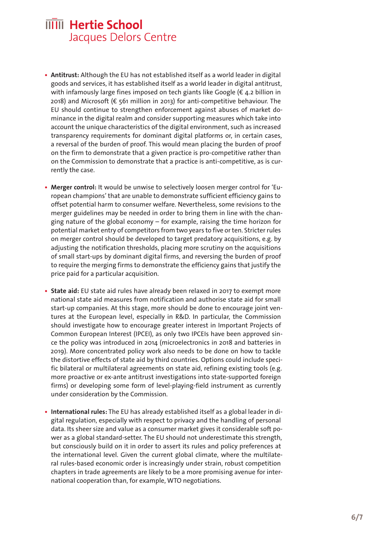- **• Antitrust:** Although the EU has not established itself as a world leader in digital goods and services, it has established itself as a world leader in digital antitrust, with infamously large fines imposed on tech giants like Google (€ 4.2 billion in 2018) and Microsoft (€ 561 million in 2013) for anti-competitive behaviour. The EU should continue to strengthen enforcement against abuses of market dominance in the digital realm and consider supporting measures which take into account the unique characteristics of the digital environment, such as increased transparency requirements for dominant digital platforms or, in certain cases, a reversal of the burden of proof. This would mean placing the burden of proof on the firm to demonstrate that a given practice is pro-competitive rather than on the Commission to demonstrate that a practice is anti-competitive, as is currently the case.
- **• Merger control:** It would be unwise to selectively loosen merger control for 'European champions' that are unable to demonstrate sufficient efficiency gains to offset potential harm to consumer welfare. Nevertheless, some revisions to the merger guidelines may be needed in order to bring them in line with the changing nature of the global economy – for example, raising the time horizon for potential market entry of competitors from two years to five or ten. Stricter rules on merger control should be developed to target predatory acquisitions, e.g. by adjusting the notification thresholds, placing more scrutiny on the acquisitions of small start-ups by dominant digital firms, and reversing the burden of proof to require the merging firms to demonstrate the efficiency gains that justify the price paid for a particular acquisition.
- State aid: EU state aid rules have already been relaxed in 2017 to exempt more national state aid measures from notification and authorise state aid for small start-up companies. At this stage, more should be done to encourage joint ventures at the European level, especially in R&D. In particular, the Commission should investigate how to encourage greater interest in Important Projects of Common European Interest (IPCEI), as only two IPCEIs have been approved since the policy was introduced in 2014 (microelectronics in 2018 and batteries in 2019). More concentrated policy work also needs to be done on how to tackle the distortive effects of state aid by third countries. Options could include specific bilateral or multilateral agreements on state aid, refining existing tools (e.g. more proactive or ex-ante antitrust investigations into state-supported foreign firms) or developing some form of level-playing-field instrument as currently under consideration by the Commission.
- **• International rules:** The EU has already established itself as a global leader in digital regulation, especially with respect to privacy and the handling of personal data. Its sheer size and value as a consumer market gives it considerable soft power as a global standard-setter. The EU should not underestimate this strength, but consciously build on it in order to assert its rules and policy preferences at the international level. Given the current global climate, where the multilateral rules-based economic order is increasingly under strain, robust competition chapters in trade agreements are likely to be a more promising avenue for international cooperation than, for example, WTO negotiations.